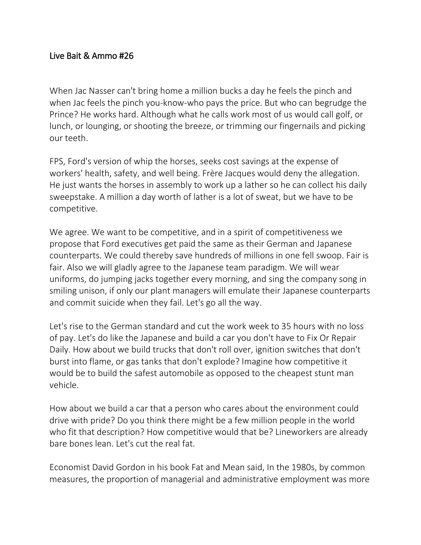## Live Bait & Ammo #26

When Jac Nasser can't bring home a million bucks a day he feels the pinch and when Jac feels the pinch you-know-who pays the price. But who can begrudge the Prince? He works hard. Although what he calls work most of us would call golf, or lunch, or lounging, or shooting the breeze, or trimming our fingernails and picking our teeth.

FPS, Ford's version of whip the horses, seeks cost savings at the expense of workers' health, safety, and well being. Frère Jacques would deny the allegation. He just wants the horses in assembly to work up a lather so he can collect his daily sweepstake. A million a day worth of lather is a lot of sweat, but we have to be competitive.

We agree. We want to be competitive, and in a spirit of competitiveness we propose that Ford executives get paid the same as their German and Japanese counterparts. We could thereby save hundreds of millions in one fell swoop. Fair is fair. Also we will gladly agree to the Japanese team paradigm. We will wear uniforms, do jumping jacks together every morning, and sing the company song in smiling unison, if only our plant managers will emulate their Japanese counterparts and commit suicide when they fail. Let's go all the way.

Let's rise to the German standard and cut the work week to 35 hours with no loss of pay. Let's do like the Japanese and build a car you don't have to Fix Or Repair Daily. How about we build trucks that don't roll over, ignition switches that don't burst into flame, or gas tanks that don't explode? Imagine how competitive it would be to build the safest automobile as opposed to the cheapest stunt man vehicle.

How about we build a car that a person who cares about the environment could drive with pride? Do you think there might be a few million people in the world who fit that description? How competitive would that be? Lineworkers are already bare bones lean. Let's cut the real fat.

Economist David Gordon in his book Fat and Mean said, In the 1980s, by common measures, the proportion of managerial and administrative employment was more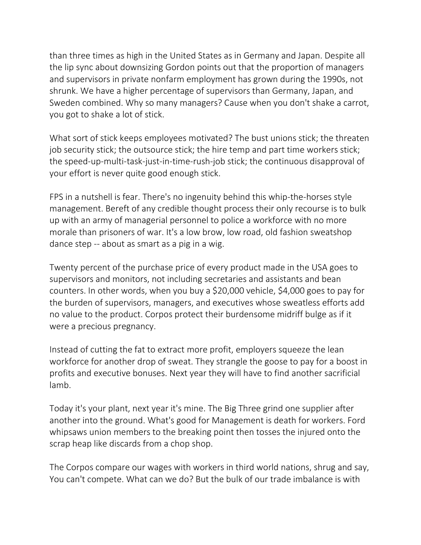than three times as high in the United States as in Germany and Japan. Despite all the lip sync about downsizing Gordon points out that the proportion of managers and supervisors in private nonfarm employment has grown during the 1990s, not shrunk. We have a higher percentage of supervisors than Germany, Japan, and Sweden combined. Why so many managers? Cause when you don't shake a carrot, you got to shake a lot of stick.

What sort of stick keeps employees motivated? The bust unions stick; the threaten job security stick; the outsource stick; the hire temp and part time workers stick; the speed-up-multi-task-just-in-time-rush-job stick; the continuous disapproval of your effort is never quite good enough stick.

FPS in a nutshell is fear. There's no ingenuity behind this whip-the-horses style management. Bereft of any credible thought process their only recourse is to bulk up with an army of managerial personnel to police a workforce with no more morale than prisoners of war. It's a low brow, low road, old fashion sweatshop dance step -- about as smart as a pig in a wig.

Twenty percent of the purchase price of every product made in the USA goes to supervisors and monitors, not including secretaries and assistants and bean counters. In other words, when you buy a \$20,000 vehicle, \$4,000 goes to pay for the burden of supervisors, managers, and executives whose sweatless efforts add no value to the product. Corpos protect their burdensome midriff bulge as if it were a precious pregnancy.

Instead of cutting the fat to extract more profit, employers squeeze the lean workforce for another drop of sweat. They strangle the goose to pay for a boost in profits and executive bonuses. Next year they will have to find another sacrificial lamb.

Today it's your plant, next year it's mine. The Big Three grind one supplier after another into the ground. What's good for Management is death for workers. Ford whipsaws union members to the breaking point then tosses the injured onto the scrap heap like discards from a chop shop.

The Corpos compare our wages with workers in third world nations, shrug and say, You can't compete. What can we do? But the bulk of our trade imbalance is with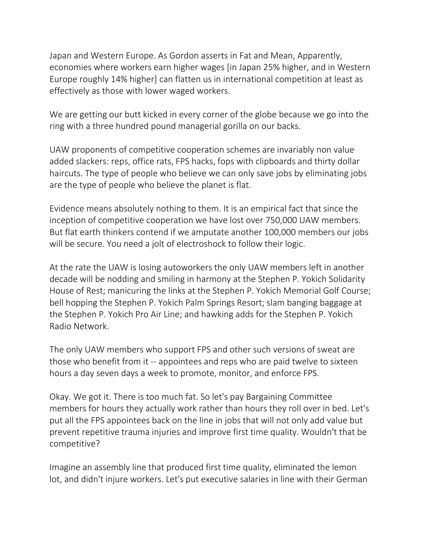Japan and Western Europe. As Gordon asserts in Fat and Mean, Apparently, economies where workers earn higher wages [in Japan 25% higher, and in Western Europe roughly 14% higher] can flatten us in international competition at least as effectively as those with lower waged workers.

We are getting our butt kicked in every corner of the globe because we go into the ring with a three hundred pound managerial gorilla on our backs.

UAW proponents of competitive cooperation schemes are invariably non value added slackers: reps, office rats, FPS hacks, fops with clipboards and thirty dollar haircuts. The type of people who believe we can only save jobs by eliminating jobs are the type of people who believe the planet is flat.

Evidence means absolutely nothing to them. It is an empirical fact that since the inception of competitive cooperation we have lost over 750,000 UAW members. But flat earth thinkers contend if we amputate another 100,000 members our jobs will be secure. You need a jolt of electroshock to follow their logic.

At the rate the UAW is losing autoworkers the only UAW members left in another decade will be nodding and smiling in harmony at the Stephen P. Yokich Solidarity House of Rest; manicuring the links at the Stephen P. Yokich Memorial Golf Course; bell hopping the Stephen P. Yokich Palm Springs Resort; slam banging baggage at the Stephen P. Yokich Pro Air Line; and hawking adds for the Stephen P. Yokich Radio Network.

The only UAW members who support FPS and other such versions of sweat are those who benefit from it -- appointees and reps who are paid twelve to sixteen hours a day seven days a week to promote, monitor, and enforce FPS.

Okay. We got it. There is too much fat. So let's pay Bargaining Committee members for hours they actually work rather than hours they roll over in bed. Let's put all the FPS appointees back on the line in jobs that will not only add value but prevent repetitive trauma injuries and improve first time quality. Wouldn't that be competitive?

Imagine an assembly line that produced first time quality, eliminated the lemon lot, and didn't injure workers. Let's put executive salaries in line with their German